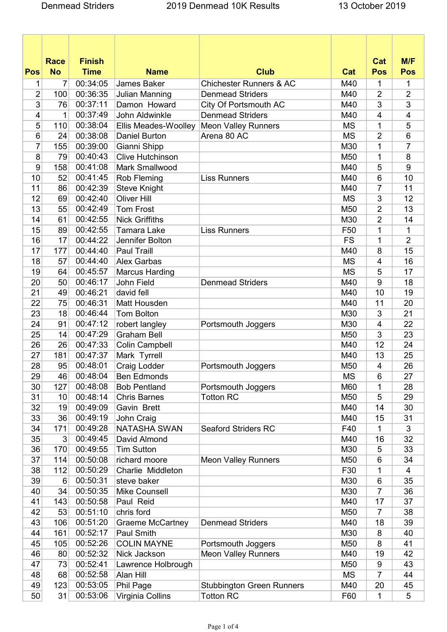| <b>Finish</b><br>M/F<br>Cat<br><b>Race</b><br><b>No</b><br><b>Club</b><br>Pos<br><b>Time</b><br><b>Name</b><br><b>Pos</b><br>Pos<br>Cat<br>00:34:05<br>7<br><b>James Baker</b><br><b>Chichester Runners &amp; AC</b><br>M40<br>1<br>1<br>1<br>$\overline{2}$<br>00:36:35<br>$\overline{2}$<br>$\overline{2}$<br>100<br><b>Julian Manning</b><br><b>Denmead Striders</b><br>M40<br>3<br>00:37:11<br>Damon Howard<br>3<br>3<br>76<br>City Of Portsmouth AC<br>M40<br>00:37:49<br><b>Denmead Striders</b><br>4<br>4<br>4<br>John Aldwinkle<br>1<br>M40<br>5<br>00:38:04<br>5<br>110<br>1<br>Ellis Meades-Woolley<br><b>Meon Valley Runners</b><br><b>MS</b><br>6<br>00:38:08<br>$\overline{2}$<br>6<br>24<br>Daniel Burton<br>Arena 80 AC<br><b>MS</b><br>7<br>7<br>00:39:00<br>155<br>Gianni Shipp<br>M30<br>1<br>00:40:43<br><b>Clive Hutchinson</b><br>8<br>8<br>79<br>1<br>M50<br>00:41:08<br>9<br>9<br>158<br>Mark Smallwood<br>5<br>M40<br>10<br>10<br>52<br>00:41:45<br>Rob Fleming<br>M40<br>6<br><b>Liss Runners</b><br>00:42:39<br>11<br>86<br><b>Steve Knight</b><br>11<br>M40<br>7<br>12<br>12<br>00:42:40<br>Oliver Hill<br>3<br>69<br><b>MS</b><br>00:42:49<br>13<br>13<br>55<br><b>Tom Frost</b><br>M50<br>2<br>61<br>00:42:55<br>$\overline{2}$<br>14<br><b>Nick Griffiths</b><br>M30<br>14<br>15<br>89<br>00:42:55<br><b>Tamara Lake</b><br>1<br>1<br><b>Liss Runners</b><br>F <sub>50</sub><br>00:44:22<br>$\overline{2}$<br>17<br><b>FS</b><br>1<br>16<br>Jennifer Bolton<br>00:44:40<br>17<br><b>Paul Traill</b><br>M40<br>8<br>15<br>177<br>00:44:40<br>16<br>18<br>57<br><b>Alex Garbas</b><br><b>MS</b><br>4<br>00:45:57<br>19<br>64<br>5<br>17<br><b>Marcus Harding</b><br><b>MS</b><br>00:46:17<br>John Field<br>20<br>50<br><b>Denmead Striders</b><br>M40<br>9<br>18<br>00:46:21<br>49<br>19<br>21<br>david fell<br>10<br>M40<br>00:46:31<br>22<br>75<br>Matt Housden<br>11<br>20<br>M40<br>00:46:44<br>23<br>18<br><b>Tom Bolton</b><br>M30<br>3<br>21<br>00:47:12<br>24<br>91<br>robert langley<br>22<br>Portsmouth Joggers<br>M30<br>4<br>25<br>14<br>00:47:29<br>23<br><b>Graham Bell</b><br>3<br>M50<br>26<br>00:47:33<br>Colin Campbell<br>M40<br>12<br>24<br>26<br>00:47:37<br>27<br>181<br>Mark Tyrrell<br>M40<br>13<br>25<br>28<br>95<br>00:48:01<br><b>Craig Lodder</b><br>26<br>Portsmouth Joggers<br>M50<br>4<br>29<br>46<br>00:48:04<br><b>MS</b><br>27<br><b>Ben Edmonds</b><br>6 |  |  |  |  |
|-------------------------------------------------------------------------------------------------------------------------------------------------------------------------------------------------------------------------------------------------------------------------------------------------------------------------------------------------------------------------------------------------------------------------------------------------------------------------------------------------------------------------------------------------------------------------------------------------------------------------------------------------------------------------------------------------------------------------------------------------------------------------------------------------------------------------------------------------------------------------------------------------------------------------------------------------------------------------------------------------------------------------------------------------------------------------------------------------------------------------------------------------------------------------------------------------------------------------------------------------------------------------------------------------------------------------------------------------------------------------------------------------------------------------------------------------------------------------------------------------------------------------------------------------------------------------------------------------------------------------------------------------------------------------------------------------------------------------------------------------------------------------------------------------------------------------------------------------------------------------------------------------------------------------------------------------------------------------------------------------------------------------------------------------------------------------------------------------------------------------------------------------------------------------------------------------------------------------------------------------------------------------------------------------------------------------------------------------------------------------------------------------------------------------|--|--|--|--|
|                                                                                                                                                                                                                                                                                                                                                                                                                                                                                                                                                                                                                                                                                                                                                                                                                                                                                                                                                                                                                                                                                                                                                                                                                                                                                                                                                                                                                                                                                                                                                                                                                                                                                                                                                                                                                                                                                                                                                                                                                                                                                                                                                                                                                                                                                                                                                                                                                         |  |  |  |  |
|                                                                                                                                                                                                                                                                                                                                                                                                                                                                                                                                                                                                                                                                                                                                                                                                                                                                                                                                                                                                                                                                                                                                                                                                                                                                                                                                                                                                                                                                                                                                                                                                                                                                                                                                                                                                                                                                                                                                                                                                                                                                                                                                                                                                                                                                                                                                                                                                                         |  |  |  |  |
|                                                                                                                                                                                                                                                                                                                                                                                                                                                                                                                                                                                                                                                                                                                                                                                                                                                                                                                                                                                                                                                                                                                                                                                                                                                                                                                                                                                                                                                                                                                                                                                                                                                                                                                                                                                                                                                                                                                                                                                                                                                                                                                                                                                                                                                                                                                                                                                                                         |  |  |  |  |
|                                                                                                                                                                                                                                                                                                                                                                                                                                                                                                                                                                                                                                                                                                                                                                                                                                                                                                                                                                                                                                                                                                                                                                                                                                                                                                                                                                                                                                                                                                                                                                                                                                                                                                                                                                                                                                                                                                                                                                                                                                                                                                                                                                                                                                                                                                                                                                                                                         |  |  |  |  |
|                                                                                                                                                                                                                                                                                                                                                                                                                                                                                                                                                                                                                                                                                                                                                                                                                                                                                                                                                                                                                                                                                                                                                                                                                                                                                                                                                                                                                                                                                                                                                                                                                                                                                                                                                                                                                                                                                                                                                                                                                                                                                                                                                                                                                                                                                                                                                                                                                         |  |  |  |  |
|                                                                                                                                                                                                                                                                                                                                                                                                                                                                                                                                                                                                                                                                                                                                                                                                                                                                                                                                                                                                                                                                                                                                                                                                                                                                                                                                                                                                                                                                                                                                                                                                                                                                                                                                                                                                                                                                                                                                                                                                                                                                                                                                                                                                                                                                                                                                                                                                                         |  |  |  |  |
|                                                                                                                                                                                                                                                                                                                                                                                                                                                                                                                                                                                                                                                                                                                                                                                                                                                                                                                                                                                                                                                                                                                                                                                                                                                                                                                                                                                                                                                                                                                                                                                                                                                                                                                                                                                                                                                                                                                                                                                                                                                                                                                                                                                                                                                                                                                                                                                                                         |  |  |  |  |
|                                                                                                                                                                                                                                                                                                                                                                                                                                                                                                                                                                                                                                                                                                                                                                                                                                                                                                                                                                                                                                                                                                                                                                                                                                                                                                                                                                                                                                                                                                                                                                                                                                                                                                                                                                                                                                                                                                                                                                                                                                                                                                                                                                                                                                                                                                                                                                                                                         |  |  |  |  |
|                                                                                                                                                                                                                                                                                                                                                                                                                                                                                                                                                                                                                                                                                                                                                                                                                                                                                                                                                                                                                                                                                                                                                                                                                                                                                                                                                                                                                                                                                                                                                                                                                                                                                                                                                                                                                                                                                                                                                                                                                                                                                                                                                                                                                                                                                                                                                                                                                         |  |  |  |  |
|                                                                                                                                                                                                                                                                                                                                                                                                                                                                                                                                                                                                                                                                                                                                                                                                                                                                                                                                                                                                                                                                                                                                                                                                                                                                                                                                                                                                                                                                                                                                                                                                                                                                                                                                                                                                                                                                                                                                                                                                                                                                                                                                                                                                                                                                                                                                                                                                                         |  |  |  |  |
|                                                                                                                                                                                                                                                                                                                                                                                                                                                                                                                                                                                                                                                                                                                                                                                                                                                                                                                                                                                                                                                                                                                                                                                                                                                                                                                                                                                                                                                                                                                                                                                                                                                                                                                                                                                                                                                                                                                                                                                                                                                                                                                                                                                                                                                                                                                                                                                                                         |  |  |  |  |
|                                                                                                                                                                                                                                                                                                                                                                                                                                                                                                                                                                                                                                                                                                                                                                                                                                                                                                                                                                                                                                                                                                                                                                                                                                                                                                                                                                                                                                                                                                                                                                                                                                                                                                                                                                                                                                                                                                                                                                                                                                                                                                                                                                                                                                                                                                                                                                                                                         |  |  |  |  |
|                                                                                                                                                                                                                                                                                                                                                                                                                                                                                                                                                                                                                                                                                                                                                                                                                                                                                                                                                                                                                                                                                                                                                                                                                                                                                                                                                                                                                                                                                                                                                                                                                                                                                                                                                                                                                                                                                                                                                                                                                                                                                                                                                                                                                                                                                                                                                                                                                         |  |  |  |  |
|                                                                                                                                                                                                                                                                                                                                                                                                                                                                                                                                                                                                                                                                                                                                                                                                                                                                                                                                                                                                                                                                                                                                                                                                                                                                                                                                                                                                                                                                                                                                                                                                                                                                                                                                                                                                                                                                                                                                                                                                                                                                                                                                                                                                                                                                                                                                                                                                                         |  |  |  |  |
|                                                                                                                                                                                                                                                                                                                                                                                                                                                                                                                                                                                                                                                                                                                                                                                                                                                                                                                                                                                                                                                                                                                                                                                                                                                                                                                                                                                                                                                                                                                                                                                                                                                                                                                                                                                                                                                                                                                                                                                                                                                                                                                                                                                                                                                                                                                                                                                                                         |  |  |  |  |
|                                                                                                                                                                                                                                                                                                                                                                                                                                                                                                                                                                                                                                                                                                                                                                                                                                                                                                                                                                                                                                                                                                                                                                                                                                                                                                                                                                                                                                                                                                                                                                                                                                                                                                                                                                                                                                                                                                                                                                                                                                                                                                                                                                                                                                                                                                                                                                                                                         |  |  |  |  |
|                                                                                                                                                                                                                                                                                                                                                                                                                                                                                                                                                                                                                                                                                                                                                                                                                                                                                                                                                                                                                                                                                                                                                                                                                                                                                                                                                                                                                                                                                                                                                                                                                                                                                                                                                                                                                                                                                                                                                                                                                                                                                                                                                                                                                                                                                                                                                                                                                         |  |  |  |  |
|                                                                                                                                                                                                                                                                                                                                                                                                                                                                                                                                                                                                                                                                                                                                                                                                                                                                                                                                                                                                                                                                                                                                                                                                                                                                                                                                                                                                                                                                                                                                                                                                                                                                                                                                                                                                                                                                                                                                                                                                                                                                                                                                                                                                                                                                                                                                                                                                                         |  |  |  |  |
|                                                                                                                                                                                                                                                                                                                                                                                                                                                                                                                                                                                                                                                                                                                                                                                                                                                                                                                                                                                                                                                                                                                                                                                                                                                                                                                                                                                                                                                                                                                                                                                                                                                                                                                                                                                                                                                                                                                                                                                                                                                                                                                                                                                                                                                                                                                                                                                                                         |  |  |  |  |
|                                                                                                                                                                                                                                                                                                                                                                                                                                                                                                                                                                                                                                                                                                                                                                                                                                                                                                                                                                                                                                                                                                                                                                                                                                                                                                                                                                                                                                                                                                                                                                                                                                                                                                                                                                                                                                                                                                                                                                                                                                                                                                                                                                                                                                                                                                                                                                                                                         |  |  |  |  |
|                                                                                                                                                                                                                                                                                                                                                                                                                                                                                                                                                                                                                                                                                                                                                                                                                                                                                                                                                                                                                                                                                                                                                                                                                                                                                                                                                                                                                                                                                                                                                                                                                                                                                                                                                                                                                                                                                                                                                                                                                                                                                                                                                                                                                                                                                                                                                                                                                         |  |  |  |  |
|                                                                                                                                                                                                                                                                                                                                                                                                                                                                                                                                                                                                                                                                                                                                                                                                                                                                                                                                                                                                                                                                                                                                                                                                                                                                                                                                                                                                                                                                                                                                                                                                                                                                                                                                                                                                                                                                                                                                                                                                                                                                                                                                                                                                                                                                                                                                                                                                                         |  |  |  |  |
|                                                                                                                                                                                                                                                                                                                                                                                                                                                                                                                                                                                                                                                                                                                                                                                                                                                                                                                                                                                                                                                                                                                                                                                                                                                                                                                                                                                                                                                                                                                                                                                                                                                                                                                                                                                                                                                                                                                                                                                                                                                                                                                                                                                                                                                                                                                                                                                                                         |  |  |  |  |
|                                                                                                                                                                                                                                                                                                                                                                                                                                                                                                                                                                                                                                                                                                                                                                                                                                                                                                                                                                                                                                                                                                                                                                                                                                                                                                                                                                                                                                                                                                                                                                                                                                                                                                                                                                                                                                                                                                                                                                                                                                                                                                                                                                                                                                                                                                                                                                                                                         |  |  |  |  |
|                                                                                                                                                                                                                                                                                                                                                                                                                                                                                                                                                                                                                                                                                                                                                                                                                                                                                                                                                                                                                                                                                                                                                                                                                                                                                                                                                                                                                                                                                                                                                                                                                                                                                                                                                                                                                                                                                                                                                                                                                                                                                                                                                                                                                                                                                                                                                                                                                         |  |  |  |  |
|                                                                                                                                                                                                                                                                                                                                                                                                                                                                                                                                                                                                                                                                                                                                                                                                                                                                                                                                                                                                                                                                                                                                                                                                                                                                                                                                                                                                                                                                                                                                                                                                                                                                                                                                                                                                                                                                                                                                                                                                                                                                                                                                                                                                                                                                                                                                                                                                                         |  |  |  |  |
|                                                                                                                                                                                                                                                                                                                                                                                                                                                                                                                                                                                                                                                                                                                                                                                                                                                                                                                                                                                                                                                                                                                                                                                                                                                                                                                                                                                                                                                                                                                                                                                                                                                                                                                                                                                                                                                                                                                                                                                                                                                                                                                                                                                                                                                                                                                                                                                                                         |  |  |  |  |
|                                                                                                                                                                                                                                                                                                                                                                                                                                                                                                                                                                                                                                                                                                                                                                                                                                                                                                                                                                                                                                                                                                                                                                                                                                                                                                                                                                                                                                                                                                                                                                                                                                                                                                                                                                                                                                                                                                                                                                                                                                                                                                                                                                                                                                                                                                                                                                                                                         |  |  |  |  |
|                                                                                                                                                                                                                                                                                                                                                                                                                                                                                                                                                                                                                                                                                                                                                                                                                                                                                                                                                                                                                                                                                                                                                                                                                                                                                                                                                                                                                                                                                                                                                                                                                                                                                                                                                                                                                                                                                                                                                                                                                                                                                                                                                                                                                                                                                                                                                                                                                         |  |  |  |  |
|                                                                                                                                                                                                                                                                                                                                                                                                                                                                                                                                                                                                                                                                                                                                                                                                                                                                                                                                                                                                                                                                                                                                                                                                                                                                                                                                                                                                                                                                                                                                                                                                                                                                                                                                                                                                                                                                                                                                                                                                                                                                                                                                                                                                                                                                                                                                                                                                                         |  |  |  |  |
|                                                                                                                                                                                                                                                                                                                                                                                                                                                                                                                                                                                                                                                                                                                                                                                                                                                                                                                                                                                                                                                                                                                                                                                                                                                                                                                                                                                                                                                                                                                                                                                                                                                                                                                                                                                                                                                                                                                                                                                                                                                                                                                                                                                                                                                                                                                                                                                                                         |  |  |  |  |
| 00:48:08<br>127<br>30<br><b>Bob Pentland</b><br>Portsmouth Joggers<br>M60<br>1<br>28                                                                                                                                                                                                                                                                                                                                                                                                                                                                                                                                                                                                                                                                                                                                                                                                                                                                                                                                                                                                                                                                                                                                                                                                                                                                                                                                                                                                                                                                                                                                                                                                                                                                                                                                                                                                                                                                                                                                                                                                                                                                                                                                                                                                                                                                                                                                    |  |  |  |  |
| 00:48:14<br>5<br>31<br><b>Chris Barnes</b><br><b>Totton RC</b><br>M50<br>29<br>10                                                                                                                                                                                                                                                                                                                                                                                                                                                                                                                                                                                                                                                                                                                                                                                                                                                                                                                                                                                                                                                                                                                                                                                                                                                                                                                                                                                                                                                                                                                                                                                                                                                                                                                                                                                                                                                                                                                                                                                                                                                                                                                                                                                                                                                                                                                                       |  |  |  |  |
| 00:49:09<br>32<br>19<br>Gavin Brett<br>14<br>30<br>M40                                                                                                                                                                                                                                                                                                                                                                                                                                                                                                                                                                                                                                                                                                                                                                                                                                                                                                                                                                                                                                                                                                                                                                                                                                                                                                                                                                                                                                                                                                                                                                                                                                                                                                                                                                                                                                                                                                                                                                                                                                                                                                                                                                                                                                                                                                                                                                  |  |  |  |  |
| 00:49:19<br>36<br>John Craig<br>31<br>33<br>M40<br>15                                                                                                                                                                                                                                                                                                                                                                                                                                                                                                                                                                                                                                                                                                                                                                                                                                                                                                                                                                                                                                                                                                                                                                                                                                                                                                                                                                                                                                                                                                                                                                                                                                                                                                                                                                                                                                                                                                                                                                                                                                                                                                                                                                                                                                                                                                                                                                   |  |  |  |  |
| 00:49:28<br><b>NATASHA SWAN</b><br>3<br>34<br>171<br><b>Seaford Striders RC</b><br>F40<br>1                                                                                                                                                                                                                                                                                                                                                                                                                                                                                                                                                                                                                                                                                                                                                                                                                                                                                                                                                                                                                                                                                                                                                                                                                                                                                                                                                                                                                                                                                                                                                                                                                                                                                                                                                                                                                                                                                                                                                                                                                                                                                                                                                                                                                                                                                                                             |  |  |  |  |
| 00:49:45<br>32<br>35<br>David Almond<br>16<br>3<br>M40                                                                                                                                                                                                                                                                                                                                                                                                                                                                                                                                                                                                                                                                                                                                                                                                                                                                                                                                                                                                                                                                                                                                                                                                                                                                                                                                                                                                                                                                                                                                                                                                                                                                                                                                                                                                                                                                                                                                                                                                                                                                                                                                                                                                                                                                                                                                                                  |  |  |  |  |
| 00:49:55<br><b>Tim Sutton</b><br>5<br>33<br>36<br>170<br>M30                                                                                                                                                                                                                                                                                                                                                                                                                                                                                                                                                                                                                                                                                                                                                                                                                                                                                                                                                                                                                                                                                                                                                                                                                                                                                                                                                                                                                                                                                                                                                                                                                                                                                                                                                                                                                                                                                                                                                                                                                                                                                                                                                                                                                                                                                                                                                            |  |  |  |  |
| 114<br>00:50:08<br>37<br>richard moore<br><b>Meon Valley Runners</b><br>6<br>34<br>M50                                                                                                                                                                                                                                                                                                                                                                                                                                                                                                                                                                                                                                                                                                                                                                                                                                                                                                                                                                                                                                                                                                                                                                                                                                                                                                                                                                                                                                                                                                                                                                                                                                                                                                                                                                                                                                                                                                                                                                                                                                                                                                                                                                                                                                                                                                                                  |  |  |  |  |
| 00:50:29<br>112<br>Charlie Middleton<br>F30<br>1<br>38<br>4                                                                                                                                                                                                                                                                                                                                                                                                                                                                                                                                                                                                                                                                                                                                                                                                                                                                                                                                                                                                                                                                                                                                                                                                                                                                                                                                                                                                                                                                                                                                                                                                                                                                                                                                                                                                                                                                                                                                                                                                                                                                                                                                                                                                                                                                                                                                                             |  |  |  |  |
| 00:50:31<br>39<br>steve baker<br>M30<br>$\,6$<br>35<br>6                                                                                                                                                                                                                                                                                                                                                                                                                                                                                                                                                                                                                                                                                                                                                                                                                                                                                                                                                                                                                                                                                                                                                                                                                                                                                                                                                                                                                                                                                                                                                                                                                                                                                                                                                                                                                                                                                                                                                                                                                                                                                                                                                                                                                                                                                                                                                                |  |  |  |  |
| 34<br>00:50:35<br>7<br>Mike Counsell<br>M30<br>36<br>40                                                                                                                                                                                                                                                                                                                                                                                                                                                                                                                                                                                                                                                                                                                                                                                                                                                                                                                                                                                                                                                                                                                                                                                                                                                                                                                                                                                                                                                                                                                                                                                                                                                                                                                                                                                                                                                                                                                                                                                                                                                                                                                                                                                                                                                                                                                                                                 |  |  |  |  |
| 00:50:58<br>41<br>143<br>Paul Reid<br>17<br>37<br>M40                                                                                                                                                                                                                                                                                                                                                                                                                                                                                                                                                                                                                                                                                                                                                                                                                                                                                                                                                                                                                                                                                                                                                                                                                                                                                                                                                                                                                                                                                                                                                                                                                                                                                                                                                                                                                                                                                                                                                                                                                                                                                                                                                                                                                                                                                                                                                                   |  |  |  |  |
| 00:51:10<br>53<br>chris ford<br>38<br>42<br>M50<br>7                                                                                                                                                                                                                                                                                                                                                                                                                                                                                                                                                                                                                                                                                                                                                                                                                                                                                                                                                                                                                                                                                                                                                                                                                                                                                                                                                                                                                                                                                                                                                                                                                                                                                                                                                                                                                                                                                                                                                                                                                                                                                                                                                                                                                                                                                                                                                                    |  |  |  |  |
| 00:51:20<br>43<br>106<br><b>Denmead Striders</b><br>18<br>39<br><b>Graeme McCartney</b><br>M40                                                                                                                                                                                                                                                                                                                                                                                                                                                                                                                                                                                                                                                                                                                                                                                                                                                                                                                                                                                                                                                                                                                                                                                                                                                                                                                                                                                                                                                                                                                                                                                                                                                                                                                                                                                                                                                                                                                                                                                                                                                                                                                                                                                                                                                                                                                          |  |  |  |  |
| 00:52:17<br><b>Paul Smith</b><br>161<br>40<br>44<br>M30<br>8                                                                                                                                                                                                                                                                                                                                                                                                                                                                                                                                                                                                                                                                                                                                                                                                                                                                                                                                                                                                                                                                                                                                                                                                                                                                                                                                                                                                                                                                                                                                                                                                                                                                                                                                                                                                                                                                                                                                                                                                                                                                                                                                                                                                                                                                                                                                                            |  |  |  |  |
| 00:52:26<br>45<br>105<br><b>COLIN MAYNE</b><br>M50<br>41<br>Portsmouth Joggers<br>8                                                                                                                                                                                                                                                                                                                                                                                                                                                                                                                                                                                                                                                                                                                                                                                                                                                                                                                                                                                                                                                                                                                                                                                                                                                                                                                                                                                                                                                                                                                                                                                                                                                                                                                                                                                                                                                                                                                                                                                                                                                                                                                                                                                                                                                                                                                                     |  |  |  |  |
| 00:52:32<br>42<br>46<br>80<br>Nick Jackson<br><b>Meon Valley Runners</b><br>19<br>M40                                                                                                                                                                                                                                                                                                                                                                                                                                                                                                                                                                                                                                                                                                                                                                                                                                                                                                                                                                                                                                                                                                                                                                                                                                                                                                                                                                                                                                                                                                                                                                                                                                                                                                                                                                                                                                                                                                                                                                                                                                                                                                                                                                                                                                                                                                                                   |  |  |  |  |
| 73<br>00:52:41<br>43<br>47<br>Lawrence Holbrough<br>M50<br>9                                                                                                                                                                                                                                                                                                                                                                                                                                                                                                                                                                                                                                                                                                                                                                                                                                                                                                                                                                                                                                                                                                                                                                                                                                                                                                                                                                                                                                                                                                                                                                                                                                                                                                                                                                                                                                                                                                                                                                                                                                                                                                                                                                                                                                                                                                                                                            |  |  |  |  |
| 00:52:58<br>68<br>Alan Hill<br><b>MS</b><br>44<br>48<br>7                                                                                                                                                                                                                                                                                                                                                                                                                                                                                                                                                                                                                                                                                                                                                                                                                                                                                                                                                                                                                                                                                                                                                                                                                                                                                                                                                                                                                                                                                                                                                                                                                                                                                                                                                                                                                                                                                                                                                                                                                                                                                                                                                                                                                                                                                                                                                               |  |  |  |  |
| 00:53:05<br>123<br>Phil Page<br><b>Stubbington Green Runners</b><br>20<br>45<br>49<br>M40                                                                                                                                                                                                                                                                                                                                                                                                                                                                                                                                                                                                                                                                                                                                                                                                                                                                                                                                                                                                                                                                                                                                                                                                                                                                                                                                                                                                                                                                                                                                                                                                                                                                                                                                                                                                                                                                                                                                                                                                                                                                                                                                                                                                                                                                                                                               |  |  |  |  |
| 31<br>00:53:06<br><b>Totton RC</b><br>1<br>50<br>Virginia Collins<br>F60<br>5                                                                                                                                                                                                                                                                                                                                                                                                                                                                                                                                                                                                                                                                                                                                                                                                                                                                                                                                                                                                                                                                                                                                                                                                                                                                                                                                                                                                                                                                                                                                                                                                                                                                                                                                                                                                                                                                                                                                                                                                                                                                                                                                                                                                                                                                                                                                           |  |  |  |  |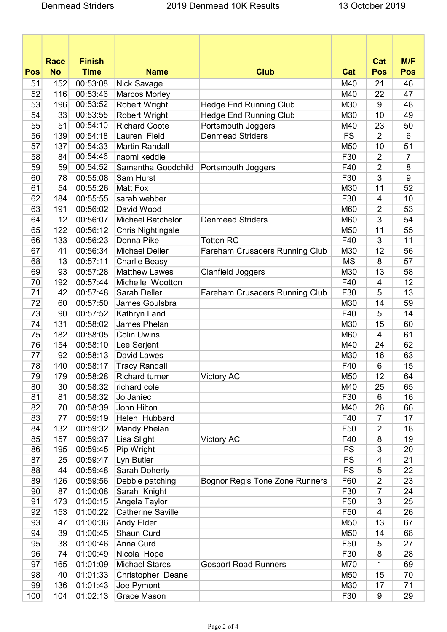|            | <b>Race</b> | <b>Finish</b> |                          |                                       |                 | Cat              | M/F            |
|------------|-------------|---------------|--------------------------|---------------------------------------|-----------------|------------------|----------------|
| <b>Pos</b> | <b>No</b>   | <b>Time</b>   | <b>Name</b>              | <b>Club</b>                           | Cat             | <b>Pos</b>       | <b>Pos</b>     |
| 51         | 152         | 00:53:08      | Nick Savage              |                                       | M40             | 21               | 46             |
| 52         | 116         | 00:53:46      | <b>Marcos Morley</b>     |                                       | M40             | 22               | 47             |
| 53         | 196         | 00:53:52      | <b>Robert Wright</b>     | <b>Hedge End Running Club</b>         | M30             | 9                | 48             |
| 54         | 33          | 00:53:55      | <b>Robert Wright</b>     | <b>Hedge End Running Club</b>         | M30             | 10               | 49             |
| 55         | 51          | 00:54:10      | <b>Richard Coote</b>     | Portsmouth Joggers                    | M40             | 23               | 50             |
| 56         | 139         | 00:54:18      | Lauren Field             | <b>Denmead Striders</b>               | <b>FS</b>       | $\overline{2}$   | 6              |
| 57         | 137         | 00:54:33      | <b>Martin Randall</b>    |                                       | M50             | 10               | 51             |
| 58         | 84          | 00:54:46      | naomi keddie             |                                       | F30             | $\overline{2}$   | $\overline{7}$ |
| 59         | 59          | 00:54:52      | Samantha Goodchild       | Portsmouth Joggers                    | F40             | $\overline{2}$   | 8              |
| 60         | 78          | 00:55:08      | Sam Hurst                |                                       | F30             | 3                | 9              |
| 61         | 54          | 00:55:26      | Matt Fox                 |                                       | M30             | 11               | 52             |
| 62         | 184         | 00:55:55      | sarah webber             |                                       | F30             | $\overline{4}$   | 10             |
| 63         | 191         | 00:56:02      | David Wood               |                                       | M60             | 2                | 53             |
| 64         | 12          | 00:56:07      | <b>Michael Batchelor</b> | <b>Denmead Striders</b>               | M60             | 3                | 54             |
| 65         | 122         | 00:56:12      | Chris Nightingale        |                                       | M50             | 11               | 55             |
| 66         | 133         | 00:56:23      | Donna Pike               | <b>Totton RC</b>                      | F40             | 3                | 11             |
| 67         | 41          | 00:56:34      | <b>Michael Deller</b>    | <b>Fareham Crusaders Running Club</b> | M30             | 12               | 56             |
| 68         | 13          | 00:57:11      | <b>Charlie Beasy</b>     |                                       | <b>MS</b>       | 8                | 57             |
| 69         | 93          | 00:57:28      | <b>Matthew Lawes</b>     | <b>Clanfield Joggers</b>              | M30             | 13               | 58             |
| 70         | 192         | 00:57:44      | Michelle Wootton         |                                       | F40             | 4                | 12             |
| 71         | 42          | 00:57:48      | <b>Sarah Deller</b>      | <b>Fareham Crusaders Running Club</b> | F30             | 5                | 13             |
| 72         | 60          | 00:57:50      | James Goulsbra           |                                       | M30             | 14               | 59             |
| 73         | 90          | 00:57:52      | Kathryn Land             |                                       | F40             | 5                | 14             |
| 74         | 131         | 00:58:02      | James Phelan             |                                       | M30             | 15               | 60             |
| 75         | 182         | 00:58:05      | <b>Colin Uwins</b>       |                                       | M60             | $\overline{4}$   | 61             |
| 76         | 154         | 00:58:10      | Lee Serjent              |                                       | M40             | 24               | 62             |
| 77         | 92          | 00:58:13      | David Lawes              |                                       | M30             | 16               | 63             |
| 78         | 140         | 00:58:17      | <b>Tracy Randall</b>     |                                       | F40             | 6                | 15             |
| 79         | 179         | 00:58:28      | <b>Richard turner</b>    | Victory AC                            | M50             | 12               | 64             |
| 80         | 30          | 00:58:32      | richard cole             |                                       | M40             | 25               | 65             |
| 81         | 81          | 00:58:32      | Jo Janiec                |                                       | F30             | 6                | 16             |
| 82         | 70          | 00:58:39      | John Hilton              |                                       | M40             | 26               | 66             |
| 83         | 77          | 00:59:19      | Helen Hubbard            |                                       | F40             | 7                | 17             |
| 84         | 132         | 00:59:32      | Mandy Phelan             |                                       | F <sub>50</sub> | $\overline{2}$   | 18             |
| 85         | 157         | 00:59:37      | Lisa Slight              | <b>Victory AC</b>                     | F40             | 8                | 19             |
| 86         | 195         | 00:59:45      | Pip Wright               |                                       | <b>FS</b>       | 3                | 20             |
| 87         | 25          | 00:59:47      | Lyn Butler               |                                       | <b>FS</b>       | 4                | 21             |
| 88         | 44          | 00:59:48      | Sarah Doherty            |                                       | <b>FS</b>       | 5                | 22             |
| 89         | 126         | 00:59:56      | Debbie patching          | <b>Bognor Regis Tone Zone Runners</b> | F60             | $\overline{2}$   | 23             |
| 90         | 87          | 01:00:08      | Sarah Knight             |                                       | F30             | 7                | 24             |
| 91         | 173         | 01:00:15      | Angela Taylor            |                                       | F <sub>50</sub> | 3                | 25             |
| 92         | 153         | 01:00:22      | Catherine Saville        |                                       | F <sub>50</sub> | $\overline{4}$   | 26             |
| 93         | 47          | 01:00:36      | Andy Elder               |                                       | M50             | 13               | 67             |
| 94         | 39          | 01:00:45      | Shaun Curd               |                                       | M50             | 14               | 68             |
| 95         | 38          | 01:00:46      | Anna Curd                |                                       | F <sub>50</sub> | 5                | 27             |
| 96         | 74          | 01:00:49      | Nicola Hope              |                                       | F30             | 8                | 28             |
| 97         | 165         | 01:01:09      | <b>Michael Stares</b>    | <b>Gosport Road Runners</b>           | M70             | 1                | 69             |
| 98         | 40          | 01:01:33      | Christopher Deane        |                                       | M50             | 15               | 70             |
| 99         | 136         | 01:01:43      | Joe Pymont               |                                       | M30             | 17               | 71             |
| 100        | 104         | 01:02:13      | Grace Mason              |                                       | F30             | $\boldsymbol{9}$ | 29             |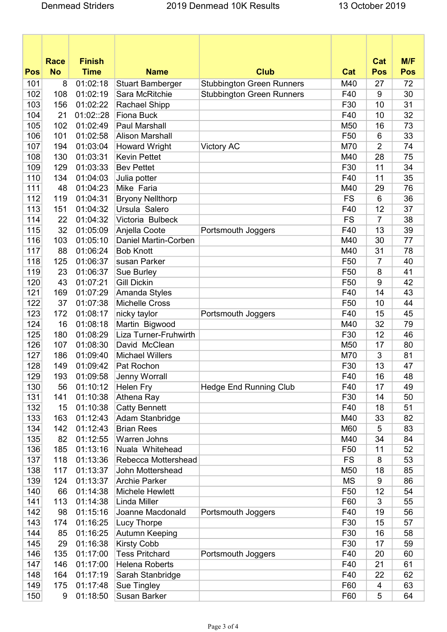|            | <b>Race</b> | <b>Finish</b> |                         |                                  |                 | Cat            | M/F        |
|------------|-------------|---------------|-------------------------|----------------------------------|-----------------|----------------|------------|
| <b>Pos</b> | <b>No</b>   | <b>Time</b>   | <b>Name</b>             | <b>Club</b>                      | Cat             | <b>Pos</b>     | <b>Pos</b> |
| 101        | 8           | 01:02:18      | <b>Stuart Bamberger</b> | <b>Stubbington Green Runners</b> | M40             | 27             | 72         |
| 102        | 108         | 01:02:19      | Sara McRitchie          | <b>Stubbington Green Runners</b> | F40             | 9              | 30         |
| 103        | 156         | 01:02:22      | Rachael Shipp           |                                  | F30             | 10             | 31         |
| 104        | 21          | 01:02::28     | <b>Fiona Buck</b>       |                                  | F40             | 10             | 32         |
| 105        | 102         | 01:02:49      | <b>Paul Marshall</b>    |                                  | M50             | 16             | 73         |
| 106        | 101         | 01:02:58      | <b>Alison Marshall</b>  |                                  | F <sub>50</sub> | 6              | 33         |
| 107        | 194         | 01:03:04      | <b>Howard Wright</b>    | <b>Victory AC</b>                | M70             | $\overline{2}$ | 74         |
| 108        | 130         | 01:03:31      | <b>Kevin Pettet</b>     |                                  | M40             | 28             | 75         |
| 109        | 129         | 01:03:33      | <b>Bev Pettet</b>       |                                  | F30             | 11             | 34         |
| 110        | 134         | 01:04:03      | Julia potter            |                                  | F40             | 11             | 35         |
| 111        | 48          | 01:04:23      | Mike Faria              |                                  | M40             | 29             | 76         |
| 112        | 119         | 01:04:31      | <b>Bryony Nellthorp</b> |                                  | <b>FS</b>       | 6              | 36         |
| 113        | 151         | 01:04:32      | Ursula Salero           |                                  | F40             | 12             | 37         |
| 114        | 22          | 01:04:32      | Victoria Bulbeck        |                                  | <b>FS</b>       | 7              | 38         |
| 115        | 32          | 01:05:09      | Anjella Coote           | Portsmouth Joggers               | F40             | 13             | 39         |
| 116        | 103         | 01:05:10      | Daniel Martin-Corben    |                                  | M40             | 30             | 77         |
| 117        | 88          | 01:06:24      | <b>Bob Knott</b>        |                                  | M40             | 31             | 78         |
| 118        | 125         | 01:06:37      | susan Parker            |                                  | F50             | 7              | 40         |
| 119        | 23          | 01:06:37      | <b>Sue Burley</b>       |                                  | F <sub>50</sub> | 8              | 41         |
| 120        | 43          | 01:07:21      | <b>Gill Dickin</b>      |                                  | F50             | 9              | 42         |
| 121        | 169         | 01:07:29      | Amanda Styles           |                                  | F40             | 14             | 43         |
| 122        | 37          | 01:07:38      | <b>Michelle Cross</b>   |                                  | F <sub>50</sub> | 10             | 44         |
| 123        | 172         | 01:08:17      | nicky taylor            | Portsmouth Joggers               | F40             | 15             | 45         |
| 124        | 16          | 01:08:18      | Martin Bigwood          |                                  | M40             | 32             | 79         |
| 125        | 180         | 01:08:29      | Liza Turner-Fruhwirth   |                                  | F30             | 12             | 46         |
| 126        | 107         | 01:08:30      | David McClean           |                                  | M50             | 17             | 80         |
| 127        | 186         | 01:09:40      | <b>Michael Willers</b>  |                                  | M70             | 3              | 81         |
| 128        | 149         | 01:09:42      | Pat Rochon              |                                  | F30             | 13             | 47         |
| 129        | 193         | 01:09:58      | Jenny Worrall           |                                  | F40             | 16             | 48         |
| 130        | 56          | 01:10:12      | <b>Helen Fry</b>        | <b>Hedge End Running Club</b>    | F40             | 17             | 49         |
| 131        | 141         | 01:10:38      | Athena Ray              |                                  | F30             | 14             | 50         |
| 132        | 15          | 01:10:38      | <b>Catty Bennett</b>    |                                  | F40             | 18             | 51         |
| 133        | 163         | 01:12:43      | Adam Stanbridge         |                                  | M40             | 33             | 82         |
| 134        | 142         | 01:12:43      | <b>Brian Rees</b>       |                                  | M60             | 5              | 83         |
| 135        | 82          | 01:12:55      | Warren Johns            |                                  | M40             | 34             | 84         |
| 136        | 185         | 01:13:16      | Nuala Whitehead         |                                  | F <sub>50</sub> | 11             | 52         |
| 137        | 118         | 01:13:36      | Rebecca Mottershead     |                                  | <b>FS</b>       | 8              | 53         |
| 138        | 117         | 01:13:37      | John Mottershead        |                                  | M50             | 18             | 85         |
| 139        | 124         | 01:13:37      | <b>Archie Parker</b>    |                                  | <b>MS</b>       | 9              | 86         |
| 140        | 66          | 01:14:38      | Michele Hewlett         |                                  | F <sub>50</sub> | 12             | 54         |
| 141        | 113         | 01:14:38      | Linda Miller            |                                  | F60             | 3              | 55         |
| 142        | 98          | 01:15:16      | Joanne Macdonald        | Portsmouth Joggers               | F40             | 19             | 56         |
| 143        | 174         | 01:16:25      | <b>Lucy Thorpe</b>      |                                  | F30             | 15             | 57         |
| 144        | 85          | 01:16:25      | Autumn Keeping          |                                  | F30             | 16             | 58         |
| 145        | 29          | 01:16:38      | <b>Kirsty Cobb</b>      |                                  | F30             | 17             | 59         |
| 146        | 135         | 01:17:00      | <b>Tess Pritchard</b>   | Portsmouth Joggers               | F40             | 20             | 60         |
| 147        | 146         | 01:17:00      | <b>Helena Roberts</b>   |                                  | F40             | 21             | 61         |
| 148        | 164         | 01:17:19      | Sarah Stanbridge        |                                  | F40             | 22             | 62         |
| 149        | 175         | 01:17:48      | Sue Tingley             |                                  | F60             | 4              | 63         |
| 150        | 9           | 01:18:50      | <b>Susan Barker</b>     |                                  | F60             | 5              | 64         |
|            |             |               |                         |                                  |                 |                |            |